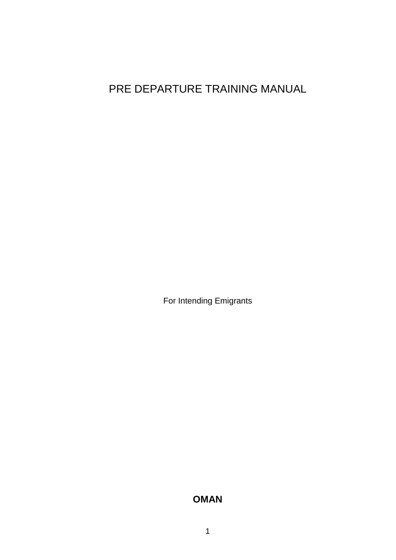# PRE DEPARTURE TRAINING MANUAL

For Intending Emigrants

**OMAN**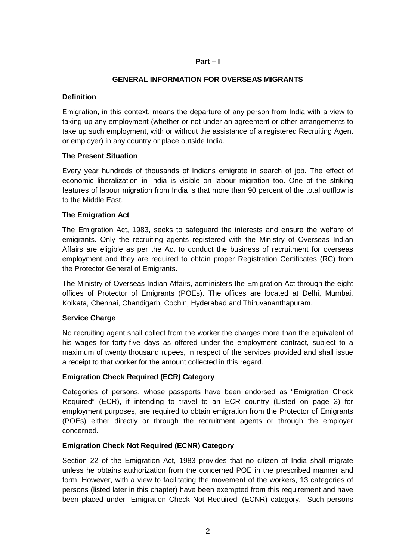#### **Part – I**

## **GENERAL INFORMATION FOR OVERSEAS MIGRANTS**

#### **Definition**

Emigration, in this context, means the departure of any person from India with a view to taking up any employment (whether or not under an agreement or other arrangements to take up such employment, with or without the assistance of a registered Recruiting Agent or employer) in any country or place outside India.

## **The Present Situation**

Every year hundreds of thousands of Indians emigrate in search of job. The effect of economic liberalization in India is visible on labour migration too. One of the striking features of labour migration from India is that more than 90 percent of the total outflow is to the Middle East.

## **The Emigration Act**

The Emigration Act, 1983, seeks to safeguard the interests and ensure the welfare of emigrants. Only the recruiting agents registered with the Ministry of Overseas Indian Affairs are eligible as per the Act to conduct the business of recruitment for overseas employment and they are required to obtain proper Registration Certificates (RC) from the Protector General of Emigrants.

The Ministry of Overseas Indian Affairs, administers the Emigration Act through the eight offices of Protector of Emigrants (POEs). The offices are located at Delhi, Mumbai, Kolkata, Chennai, Chandigarh, Cochin, Hyderabad and Thiruvananthapuram.

## **Service Charge**

No recruiting agent shall collect from the worker the charges more than the equivalent of his wages for forty-five days as offered under the employment contract, subject to a maximum of twenty thousand rupees, in respect of the services provided and shall issue a receipt to that worker for the amount collected in this regard.

## **Emigration Check Required (ECR) Category**

Categories of persons, whose passports have been endorsed as "Emigration Check Required" (ECR), if intending to travel to an ECR country (Listed on page 3) for employment purposes, are required to obtain emigration from the Protector of Emigrants (POEs) either directly or through the recruitment agents or through the employer concerned.

## **Emigration Check Not Required (ECNR) Category**

Section 22 of the Emigration Act, 1983 provides that no citizen of India shall migrate unless he obtains authorization from the concerned POE in the prescribed manner and form. However, with a view to facilitating the movement of the workers, 13 categories of persons (listed later in this chapter) have been exempted from this requirement and have been placed under "Emigration Check Not Required' (ECNR) category. Such persons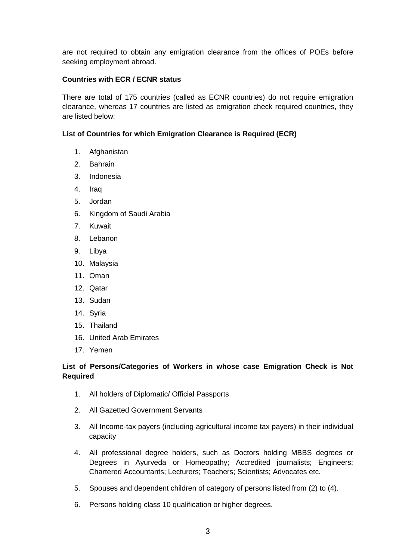are not required to obtain any emigration clearance from the offices of POEs before seeking employment abroad.

## **Countries with ECR / ECNR status**

There are total of 175 countries (called as ECNR countries) do not require emigration clearance, whereas 17 countries are listed as emigration check required countries, they are listed below:

# **List of Countries for which Emigration Clearance is Required (ECR)**

- 1. Afghanistan
- 2. Bahrain
- 3. Indonesia
- 4. Iraq
- 5. Jordan
- 6. Kingdom of Saudi Arabia
- 7. Kuwait
- 8. Lebanon
- 9. Libya
- 10. Malaysia
- 11. Oman
- 12. Qatar
- 13. Sudan
- 14. Syria
- 15. Thailand
- 16. United Arab Emirates
- 17. Yemen

# **List of Persons/Categories of Workers in whose case Emigration Check is Not Required**

- 1. All holders of Diplomatic/ Official Passports
- 2. All Gazetted Government Servants
- 3. All Income-tax payers (including agricultural income tax payers) in their individual capacity
- 4. All professional degree holders, such as Doctors holding MBBS degrees or Degrees in Ayurveda or Homeopathy; Accredited journalists; Engineers; Chartered Accountants; Lecturers; Teachers; Scientists; Advocates etc.
- 5. Spouses and dependent children of category of persons listed from (2) to (4).
- 6. Persons holding class 10 qualification or higher degrees.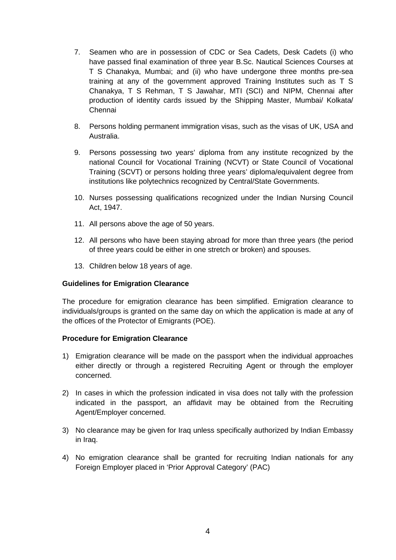- 7. Seamen who are in possession of CDC or Sea Cadets, Desk Cadets (i) who have passed final examination of three year B.Sc. Nautical Sciences Courses at T S Chanakya, Mumbai; and (ii) who have undergone three months pre-sea training at any of the government approved Training Institutes such as T S Chanakya, T S Rehman, T S Jawahar, MTI (SCI) and NIPM, Chennai after production of identity cards issued by the Shipping Master, Mumbai/ Kolkata/ Chennai
- 8. Persons holding permanent immigration visas, such as the visas of UK, USA and Australia.
- 9. Persons possessing two years' diploma from any institute recognized by the national Council for Vocational Training (NCVT) or State Council of Vocational Training (SCVT) or persons holding three years' diploma/equivalent degree from institutions like polytechnics recognized by Central/State Governments.
- 10. Nurses possessing qualifications recognized under the Indian Nursing Council Act, 1947.
- 11. All persons above the age of 50 years.
- 12. All persons who have been staying abroad for more than three years (the period of three years could be either in one stretch or broken) and spouses.
- 13. Children below 18 years of age.

## **Guidelines for Emigration Clearance**

The procedure for emigration clearance has been simplified. Emigration clearance to individuals/groups is granted on the same day on which the application is made at any of the offices of the Protector of Emigrants (POE).

## **Procedure for Emigration Clearance**

- 1) Emigration clearance will be made on the passport when the individual approaches either directly or through a registered Recruiting Agent or through the employer concerned.
- 2) In cases in which the profession indicated in visa does not tally with the profession indicated in the passport, an affidavit may be obtained from the Recruiting Agent/Employer concerned.
- 3) No clearance may be given for Iraq unless specifically authorized by Indian Embassy in Iraq.
- 4) No emigration clearance shall be granted for recruiting Indian nationals for any Foreign Employer placed in 'Prior Approval Category' (PAC)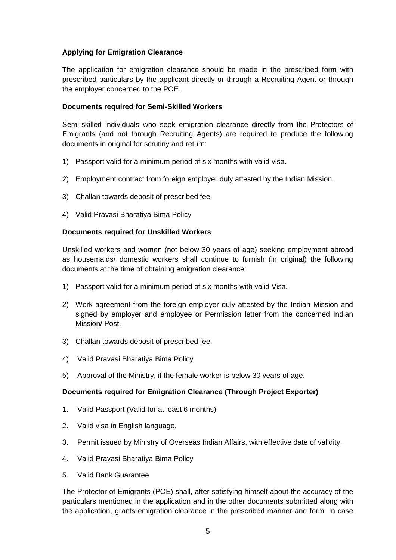# **Applying for Emigration Clearance**

The application for emigration clearance should be made in the prescribed form with prescribed particulars by the applicant directly or through a Recruiting Agent or through the employer concerned to the POE.

## **Documents required for Semi-Skilled Workers**

Semi-skilled individuals who seek emigration clearance directly from the Protectors of Emigrants (and not through Recruiting Agents) are required to produce the following documents in original for scrutiny and return:

- 1) Passport valid for a minimum period of six months with valid visa.
- 2) Employment contract from foreign employer duly attested by the Indian Mission.
- 3) Challan towards deposit of prescribed fee.
- 4) Valid Pravasi Bharatiya Bima Policy

## **Documents required for Unskilled Workers**

Unskilled workers and women (not below 30 years of age) seeking employment abroad as housemaids/ domestic workers shall continue to furnish (in original) the following documents at the time of obtaining emigration clearance:

- 1) Passport valid for a minimum period of six months with valid Visa.
- 2) Work agreement from the foreign employer duly attested by the Indian Mission and signed by employer and employee or Permission letter from the concerned Indian Mission/ Post.
- 3) Challan towards deposit of prescribed fee.
- 4) Valid Pravasi Bharatiya Bima Policy
- 5) Approval of the Ministry, if the female worker is below 30 years of age.

## **Documents required for Emigration Clearance (Through Project Exporter)**

- 1. Valid Passport (Valid for at least 6 months)
- 2. Valid visa in English language.
- 3. Permit issued by Ministry of Overseas Indian Affairs, with effective date of validity.
- 4. Valid Pravasi Bharatiya Bima Policy
- 5. Valid Bank Guarantee

The Protector of Emigrants (POE) shall, after satisfying himself about the accuracy of the particulars mentioned in the application and in the other documents submitted along with the application, grants emigration clearance in the prescribed manner and form. In case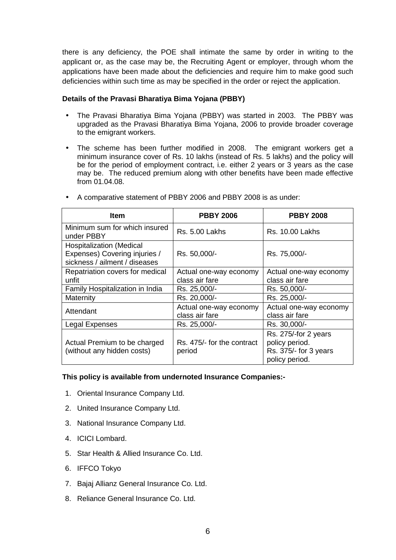there is any deficiency, the POE shall intimate the same by order in writing to the applicant or, as the case may be, the Recruiting Agent or employer, through whom the applications have been made about the deficiencies and require him to make good such deficiencies within such time as may be specified in the order or reject the application.

## **Details of the Pravasi Bharatiya Bima Yojana (PBBY)**

- The Pravasi Bharatiya Bima Yojana (PBBY) was started in 2003. The PBBY was upgraded as the Pravasi Bharatiya Bima Yojana, 2006 to provide broader coverage to the emigrant workers.
- The scheme has been further modified in 2008. The emigrant workers get a minimum insurance cover of Rs. 10 lakhs (instead of Rs. 5 lakhs) and the policy will be for the period of employment contract, i.e. either 2 years or 3 years as the case may be. The reduced premium along with other benefits have been made effective from 01.04.08.

| <b>Item</b>                                                                                       | <b>PBBY 2006</b>                         | <b>PBBY 2008</b>                                                                  |
|---------------------------------------------------------------------------------------------------|------------------------------------------|-----------------------------------------------------------------------------------|
| Minimum sum for which insured<br>under PBBY                                                       | <b>Rs. 5.00 Lakhs</b>                    | <b>Rs. 10.00 Lakhs</b>                                                            |
| <b>Hospitalization (Medical</b><br>Expenses) Covering injuries /<br>sickness / ailment / diseases | Rs. 50,000/-                             | Rs. 75,000/-                                                                      |
| Repatriation covers for medical<br>unfit                                                          | Actual one-way economy<br>class air fare | Actual one-way economy<br>class air fare                                          |
| Family Hospitalization in India                                                                   | Rs. 25,000/-                             | Rs. 50,000/-                                                                      |
| Maternity                                                                                         | Rs. 20,000/-                             | Rs. 25,000/-                                                                      |
| Attendant                                                                                         | Actual one-way economy<br>class air fare | Actual one-way economy<br>class air fare                                          |
| Legal Expenses                                                                                    | Rs. 25,000/-                             | Rs. 30,000/-                                                                      |
| Actual Premium to be charged<br>(without any hidden costs)                                        | Rs. 475/- for the contract<br>period     | Rs. 275/-for 2 years<br>policy period.<br>Rs. 375/- for 3 years<br>policy period. |

• A comparative statement of PBBY 2006 and PBBY 2008 is as under:

# **This policy is available from undernoted Insurance Companies:-**

- 1. Oriental Insurance Company Ltd.
- 2. United Insurance Company Ltd.
- 3. National Insurance Company Ltd.
- 4. ICICI Lombard.
- 5. Star Health & Allied Insurance Co. Ltd.
- 6. IFFCO Tokyo
- 7. Bajaj Allianz General Insurance Co. Ltd.
- 8. Reliance General Insurance Co. Ltd.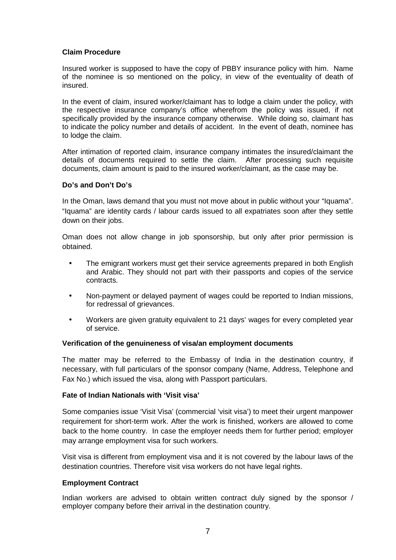## **Claim Procedure**

Insured worker is supposed to have the copy of PBBY insurance policy with him. Name of the nominee is so mentioned on the policy, in view of the eventuality of death of insured.

In the event of claim, insured worker/claimant has to lodge a claim under the policy, with the respective insurance company's office wherefrom the policy was issued, if not specifically provided by the insurance company otherwise. While doing so, claimant has to indicate the policy number and details of accident. In the event of death, nominee has to lodge the claim.

After intimation of reported claim, insurance company intimates the insured/claimant the details of documents required to settle the claim. After processing such requisite documents, claim amount is paid to the insured worker/claimant, as the case may be.

## **Do's and Don't Do's**

In the Oman, laws demand that you must not move about in public without your "Iquama". "Iquama" are identity cards / labour cards issued to all expatriates soon after they settle down on their jobs.

Oman does not allow change in job sponsorship, but only after prior permission is obtained.

- The emigrant workers must get their service agreements prepared in both English and Arabic. They should not part with their passports and copies of the service contracts.
- Non-payment or delayed payment of wages could be reported to Indian missions, for redressal of grievances.
- Workers are given gratuity equivalent to 21 days' wages for every completed year of service.

## **Verification of the genuineness of visa/an employment documents**

The matter may be referred to the Embassy of India in the destination country, if necessary, with full particulars of the sponsor company (Name, Address, Telephone and Fax No.) which issued the visa, along with Passport particulars.

## **Fate of Indian Nationals with 'Visit visa'**

Some companies issue 'Visit Visa' (commercial 'visit visa') to meet their urgent manpower requirement for short-term work. After the work is finished, workers are allowed to come back to the home country. In case the employer needs them for further period; employer may arrange employment visa for such workers.

Visit visa is different from employment visa and it is not covered by the labour laws of the destination countries. Therefore visit visa workers do not have legal rights.

## **Employment Contract**

Indian workers are advised to obtain written contract duly signed by the sponsor / employer company before their arrival in the destination country.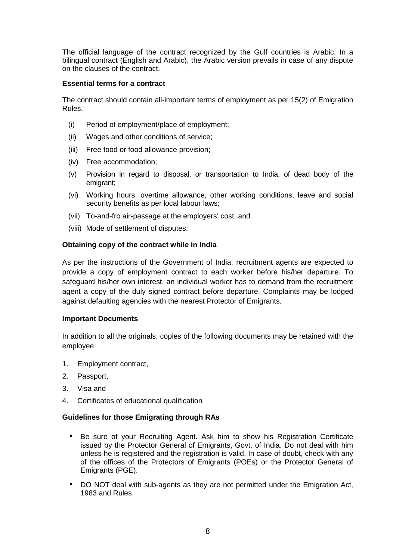The official language of the contract recognized by the Gulf countries is Arabic. In a bilingual contract (English and Arabic), the Arabic version prevails in case of any dispute on the clauses of the contract.

#### **Essential terms for a contract**

The contract should contain all-important terms of employment as per 15(2) of Emigration Rules.

- (i) Period of employment/place of employment;
- (ii) Wages and other conditions of service;
- (iii) Free food or food allowance provision;
- (iv) Free accommodation;
- (v) Provision in regard to disposal, or transportation to India, of dead body of the emigrant;
- (vi) Working hours, overtime allowance, other working conditions, leave and social security benefits as per local labour laws;
- (vii) To-and-fro air-passage at the employers' cost; and
- (viii) Mode of settlement of disputes;

## **Obtaining copy of the contract while in India**

As per the instructions of the Government of India, recruitment agents are expected to provide a copy of employment contract to each worker before his/her departure. To safeguard his/her own interest, an individual worker has to demand from the recruitment agent a copy of the duly signed contract before departure. Complaints may be lodged against defaulting agencies with the nearest Protector of Emigrants.

## **Important Documents**

In addition to all the originals, copies of the following documents may be retained with the employee.

- 1. Employment contract,
- 2. Passport,
- 3. Visa and
- 4. Certificates of educational qualification

## **Guidelines for those Emigrating through RAs**

- Be sure of your Recruiting Agent. Ask him to show his Registration Certificate issued by the Protector General of Emigrants, Govt. of India. Do not deal with him unless he is registered and the registration is valid. In case of doubt, check with any of the offices of the Protectors of Emigrants (POEs) or the Protector General of Emigrants (PGE).
- DO NOT deal with sub-agents as they are not permitted under the Emigration Act, 1983 and Rules.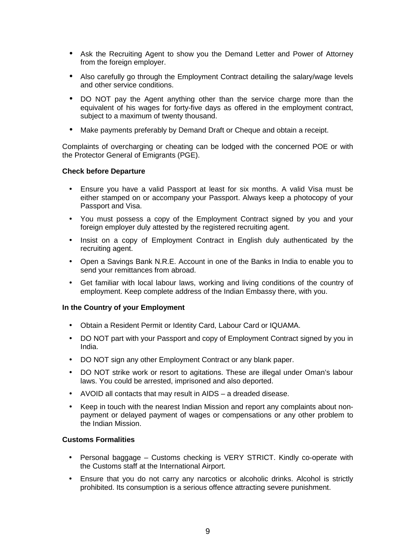- Ask the Recruiting Agent to show you the Demand Letter and Power of Attorney from the foreign employer.
- Also carefully go through the Employment Contract detailing the salary/wage levels and other service conditions.
- DO NOT pay the Agent anything other than the service charge more than the equivalent of his wages for forty-five days as offered in the employment contract, subject to a maximum of twenty thousand.
- Make payments preferably by Demand Draft or Cheque and obtain a receipt.

Complaints of overcharging or cheating can be lodged with the concerned POE or with the Protector General of Emigrants (PGE).

#### **Check before Departure**

- Ensure you have a valid Passport at least for six months. A valid Visa must be either stamped on or accompany your Passport. Always keep a photocopy of your Passport and Visa.
- You must possess a copy of the Employment Contract signed by you and your foreign employer duly attested by the registered recruiting agent.
- Insist on a copy of Employment Contract in English duly authenticated by the recruiting agent.
- Open a Savings Bank N.R.E. Account in one of the Banks in India to enable you to send your remittances from abroad.
- Get familiar with local labour laws, working and living conditions of the country of employment. Keep complete address of the Indian Embassy there, with you.

#### **In the Country of your Employment**

- Obtain a Resident Permit or Identity Card, Labour Card or IQUAMA.
- DO NOT part with your Passport and copy of Employment Contract signed by you in India.
- DO NOT sign any other Employment Contract or any blank paper.
- DO NOT strike work or resort to agitations. These are illegal under Oman's labour laws. You could be arrested, imprisoned and also deported.
- AVOID all contacts that may result in AIDS a dreaded disease.
- Keep in touch with the nearest Indian Mission and report any complaints about nonpayment or delayed payment of wages or compensations or any other problem to the Indian Mission.

#### **Customs Formalities**

- Personal baggage Customs checking is VERY STRICT. Kindly co-operate with the Customs staff at the International Airport.
- Ensure that you do not carry any narcotics or alcoholic drinks. Alcohol is strictly prohibited. Its consumption is a serious offence attracting severe punishment.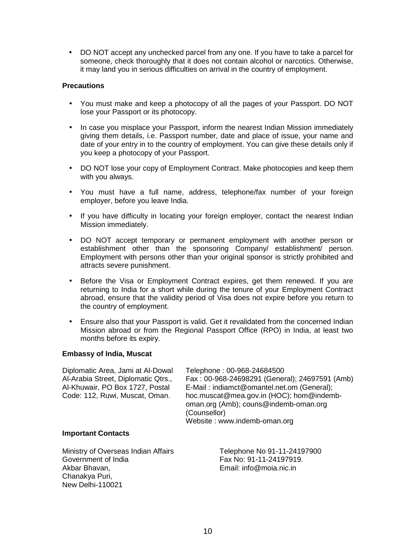• DO NOT accept any unchecked parcel from any one. If you have to take a parcel for someone, check thoroughly that it does not contain alcohol or narcotics. Otherwise, it may land you in serious difficulties on arrival in the country of employment.

#### **Precautions**

- You must make and keep a photocopy of all the pages of your Passport. DO NOT lose your Passport or its photocopy.
- In case you misplace your Passport, inform the nearest Indian Mission immediately giving them details, i.e. Passport number, date and place of issue, your name and date of your entry in to the country of employment. You can give these details only if you keep a photocopy of your Passport.
- DO NOT lose your copy of Employment Contract. Make photocopies and keep them with you always.
- You must have a full name, address, telephone/fax number of your foreign employer, before you leave India.
- If you have difficulty in locating your foreign employer, contact the nearest Indian Mission immediately.
- DO NOT accept temporary or permanent employment with another person or establishment other than the sponsoring Company/ establishment/ person. Employment with persons other than your original sponsor is strictly prohibited and attracts severe punishment.
- Before the Visa or Employment Contract expires, get them renewed. If you are returning to India for a short while during the tenure of your Employment Contract abroad, ensure that the validity period of Visa does not expire before you return to the country of employment.
- Ensure also that your Passport is valid. Get it revalidated from the concerned Indian Mission abroad or from the Regional Passport Office (RPO) in India, at least two months before its expiry.

#### **Embassy of India, Muscat**

New Delhi-110021

| Diplomatic Area, Jami at Al-Dowal<br>Al-Arabia Street, Diplomatic Qtrs.,<br>Al-Khuwair, PO Box 1727, Postal<br>Code: 112, Ruwi, Muscat, Oman. | Telephone: 00-968-24684500<br>Fax: 00-968-24698291 (General); 24697591 (Amb)<br>E-Mail: indiamct@omantel.net.om (General);<br>hoc.muscat@mea.gov.in (HOC); hom@indemb-<br>oman.org (Amb); couns@indemb-oman.org<br>(Counsellor)<br>Website: www.indemb-oman.org |  |
|-----------------------------------------------------------------------------------------------------------------------------------------------|-----------------------------------------------------------------------------------------------------------------------------------------------------------------------------------------------------------------------------------------------------------------|--|
| <b>Important Contacts</b>                                                                                                                     |                                                                                                                                                                                                                                                                 |  |
| Ministry of Overseas Indian Affairs<br>Government of India<br>Akbar Bhavan,<br>Chanakya Puri,                                                 | Telephone No 91-11-24197900<br>Fax No: 91-11-24197919.<br>Email: info@moia.nic.in                                                                                                                                                                               |  |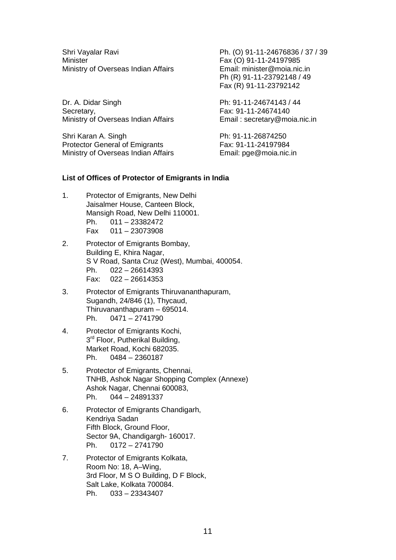Shri Vayalar Ravi **Minister** Ministry of Overseas Indian Affairs

Dr. A. Didar Singh Secretary, Ministry of Overseas Indian Affairs

Shri Karan A. Singh Protector General of Emigrants Ministry of Overseas Indian Affairs Ph. (O) 91-11-24676836 / 37 / 39 Fax (O) 91-11-24197985 Email: minister@moia.nic.in Ph (R) 91-11-23792148 / 49 Fax (R) 91-11-23792142

Ph: 91-11-24674143 / 44 Fax: 91-11-24674140 Email : secretary@moia.nic.in

Ph: 91-11-26874250 Fax: 91-11-24197984 Email: pge@moia.nic.in

# **List of Offices of Protector of Emigrants in India**

- 1. Protector of Emigrants, New Delhi Jaisalmer House, Canteen Block, Mansigh Road, New Delhi 110001. Ph. 011 – 23382472 Fax 011 – 23073908
- 2. Protector of Emigrants Bombay, Building E, Khira Nagar, S V Road, Santa Cruz (West), Mumbai, 400054. Ph. 022 – 26614393 Fax: 022 – 26614353
- 3. Protector of Emigrants Thiruvananthapuram, Sugandh, 24/846 (1), Thycaud, Thiruvananthapuram – 695014. Ph. 0471 – 2741790
- 4. Protector of Emigrants Kochi, 3<sup>rd</sup> Floor, Putherikal Building. Market Road, Kochi 682035. Ph. 0484 – 2360187
- 5. Protector of Emigrants, Chennai, TNHB, Ashok Nagar Shopping Complex (Annexe) Ashok Nagar, Chennai 600083, Ph. 044 – 24891337
- 6. Protector of Emigrants Chandigarh, Kendriya Sadan Fifth Block, Ground Floor, Sector 9A, Chandigargh- 160017. Ph. 0172 – 2741790
- 7. Protector of Emigrants Kolkata, Room No: 18, A–Wing, 3rd Floor, M S O Building, D F Block, Salt Lake, Kolkata 700084. Ph. 033 – 23343407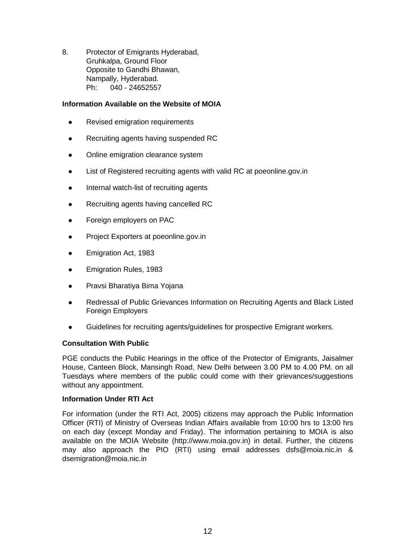8. Protector of Emigrants Hyderabad, Gruhkalpa, Ground Floor Opposite to Gandhi Bhawan, Nampally, Hyderabad. Ph: 040 - 24652557

# **Information Available on the Website of MOIA**

- Revised emigration requirements
- Recruiting agents having suspended RC
- Online emigration clearance system
- List of Registered recruiting agents with valid RC at poeonline.gov.in
- Internal watch-list of recruiting agents
- Recruiting agents having cancelled RC
- Foreign employers on PAC
- Project Exporters at poeonline.gov.in
- **Emigration Act, 1983**
- Emigration Rules, 1983
- Pravsi Bharatiya Bima Yojana
- Redressal of Public Grievances Information on Recruiting Agents and Black Listed Foreign Employers
- Guidelines for recruiting agents/guidelines for prospective Emigrant workers.

## **Consultation With Public**

PGE conducts the Public Hearings in the office of the Protector of Emigrants, Jaisalmer House, Canteen Block, Mansingh Road, New Delhi between 3.00 PM to 4.00 PM. on all Tuesdays where members of the public could come with their grievances/suggestions without any appointment.

## **Information Under RTI Act**

For information (under the RTI Act, 2005) citizens may approach the Public Information Officer (RTI) of Ministry of Overseas Indian Affairs available from 10:00 hrs to 13:00 hrs on each day (except Monday and Friday). The information pertaining to MOIA is also available on the MOIA Website (http://www.moia.gov.in) in detail. Further, the citizens may also approach the PIO (RTI) using email addresses dsfs@moia.nic.in & dsemigration@moia.nic.in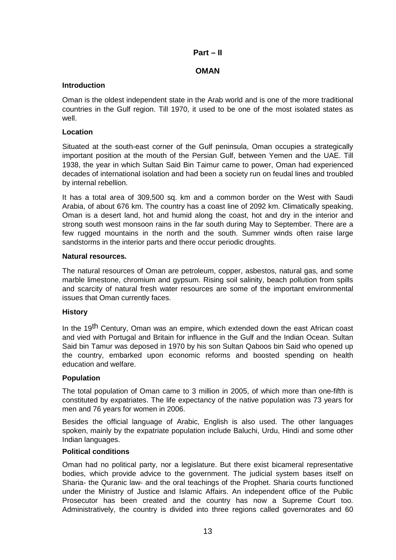# **Part – II**

## **OMAN**

# **Introduction**

Oman is the oldest independent state in the Arab world and is one of the more traditional countries in the Gulf region. Till 1970, it used to be one of the most isolated states as well.

# **Location**

Situated at the south-east corner of the Gulf peninsula, Oman occupies a strategically important position at the mouth of the Persian Gulf, between Yemen and the UAE. Till 1938, the year in which Sultan Said Bin Taimur came to power, Oman had experienced decades of international isolation and had been a society run on feudal lines and troubled by internal rebellion.

It has a total area of 309,500 sq. km and a common border on the West with Saudi Arabia, of about 676 km. The country has a coast line of 2092 km. Climatically speaking, Oman is a desert land, hot and humid along the coast, hot and dry in the interior and strong south west monsoon rains in the far south during May to September. There are a few rugged mountains in the north and the south. Summer winds often raise large sandstorms in the interior parts and there occur periodic droughts.

# **Natural resources.**

The natural resources of Oman are petroleum, copper, asbestos, natural gas, and some marble limestone, chromium and gypsum. Rising soil salinity, beach pollution from spills and scarcity of natural fresh water resources are some of the important environmental issues that Oman currently faces.

# **History**

In the 19<sup>th</sup> Century, Oman was an empire, which extended down the east African coast and vied with Portugal and Britain for influence in the Gulf and the Indian Ocean. Sultan Said bin Tamur was deposed in 1970 by his son Sultan Qaboos bin Said who opened up the country, embarked upon economic reforms and boosted spending on health education and welfare.

## **Population**

The total population of Oman came to 3 million in 2005, of which more than one-fifth is constituted by expatriates. The life expectancy of the native population was 73 years for men and 76 years for women in 2006.

Besides the official language of Arabic, English is also used. The other languages spoken, mainly by the expatriate population include Baluchi, Urdu, Hindi and some other Indian languages.

## **Political conditions**

Oman had no political party, nor a legislature. But there exist bicameral representative bodies, which provide advice to the government. The judicial system bases itself on Sharia- the Quranic law- and the oral teachings of the Prophet. Sharia courts functioned under the Ministry of Justice and Islamic Affairs. An independent office of the Public Prosecutor has been created and the country has now a Supreme Court too. Administratively, the country is divided into three regions called governorates and 60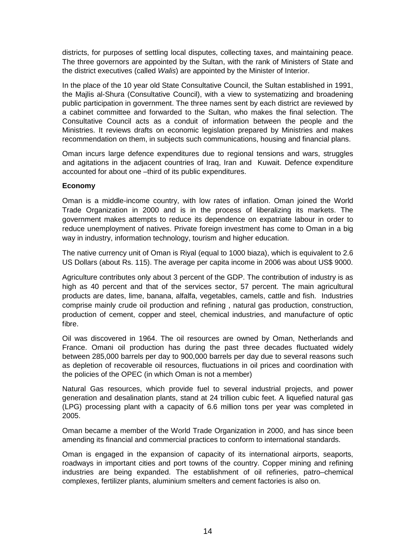districts, for purposes of settling local disputes, collecting taxes, and maintaining peace. The three governors are appointed by the Sultan, with the rank of Ministers of State and the district executives (called Walis) are appointed by the Minister of Interior.

In the place of the 10 year old State Consultative Council, the Sultan established in 1991, the Majlis al-Shura (Consultative Council), with a view to systematizing and broadening public participation in government. The three names sent by each district are reviewed by a cabinet committee and forwarded to the Sultan, who makes the final selection. The Consultative Council acts as a conduit of information between the people and the Ministries. It reviews drafts on economic legislation prepared by Ministries and makes recommendation on them, in subjects such communications, housing and financial plans.

Oman incurs large defence expenditures due to regional tensions and wars, struggles and agitations in the adjacent countries of Iraq, Iran and Kuwait. Defence expenditure accounted for about one –third of its public expenditures.

## **Economy**

Oman is a middle-income country, with low rates of inflation. Oman joined the World Trade Organization in 2000 and is in the process of liberalizing its markets. The government makes attempts to reduce its dependence on expatriate labour in order to reduce unemployment of natives. Private foreign investment has come to Oman in a big way in industry, information technology, tourism and higher education.

The native currency unit of Oman is Riyal (equal to 1000 biaza), which is equivalent to 2.6 US Dollars (about Rs. 115). The average per capita income in 2006 was about US\$ 9000.

Agriculture contributes only about 3 percent of the GDP. The contribution of industry is as high as 40 percent and that of the services sector, 57 percent. The main agricultural products are dates, lime, banana, alfalfa, vegetables, camels, cattle and fish. Industries comprise mainly crude oil production and refining , natural gas production, construction, production of cement, copper and steel, chemical industries, and manufacture of optic fibre.

Oil was discovered in 1964. The oil resources are owned by Oman, Netherlands and France. Omani oil production has during the past three decades fluctuated widely between 285,000 barrels per day to 900,000 barrels per day due to several reasons such as depletion of recoverable oil resources, fluctuations in oil prices and coordination with the policies of the OPEC (in which Oman is not a member)

Natural Gas resources, which provide fuel to several industrial projects, and power generation and desalination plants, stand at 24 trillion cubic feet. A liquefied natural gas (LPG) processing plant with a capacity of 6.6 million tons per year was completed in 2005.

Oman became a member of the World Trade Organization in 2000, and has since been amending its financial and commercial practices to conform to international standards.

Oman is engaged in the expansion of capacity of its international airports, seaports, roadways in important cities and port towns of the country. Copper mining and refining industries are being expanded. The establishment of oil refineries, patro–chemical complexes, fertilizer plants, aluminium smelters and cement factories is also on.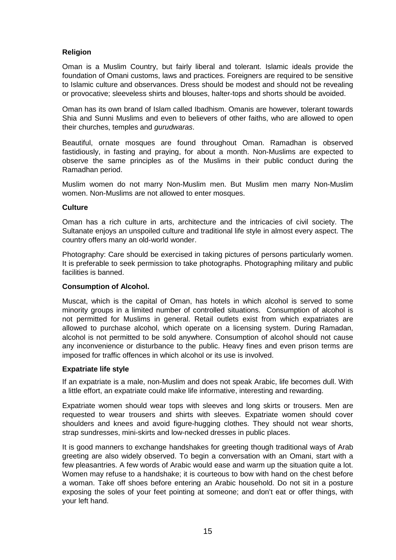# **Religion**

Oman is a Muslim Country, but fairly liberal and tolerant. Islamic ideals provide the foundation of Omani customs, laws and practices. Foreigners are required to be sensitive to Islamic culture and observances. Dress should be modest and should not be revealing or provocative; sleeveless shirts and blouses, halter-tops and shorts should be avoided.

Oman has its own brand of Islam called Ibadhism. Omanis are however, tolerant towards Shia and Sunni Muslims and even to believers of other faiths, who are allowed to open their churches, temples and gurudwaras.

Beautiful, ornate mosques are found throughout Oman. Ramadhan is observed fastidiously, in fasting and praying, for about a month. Non-Muslims are expected to observe the same principles as of the Muslims in their public conduct during the Ramadhan period.

Muslim women do not marry Non-Muslim men. But Muslim men marry Non-Muslim women. Non-Muslims are not allowed to enter mosques.

## **Culture**

Oman has a rich culture in arts, architecture and the intricacies of civil society. The Sultanate enjoys an unspoiled culture and traditional life style in almost every aspect. The country offers many an old-world wonder.

Photography: Care should be exercised in taking pictures of persons particularly women. It is preferable to seek permission to take photographs. Photographing military and public facilities is banned.

## **Consumption of Alcohol.**

Muscat, which is the capital of Oman, has hotels in which alcohol is served to some minority groups in a limited number of controlled situations. Consumption of alcohol is not permitted for Muslims in general. Retail outlets exist from which expatriates are allowed to purchase alcohol, which operate on a licensing system. During Ramadan, alcohol is not permitted to be sold anywhere. Consumption of alcohol should not cause any inconvenience or disturbance to the public. Heavy fines and even prison terms are imposed for traffic offences in which alcohol or its use is involved.

## **Expatriate life style**

If an expatriate is a male, non-Muslim and does not speak Arabic, life becomes dull. With a little effort, an expatriate could make life informative, interesting and rewarding.

Expatriate women should wear tops with sleeves and long skirts or trousers. Men are requested to wear trousers and shirts with sleeves. Expatriate women should cover shoulders and knees and avoid figure-hugging clothes. They should not wear shorts, strap sundresses, mini-skirts and low-necked dresses in public places.

It is good manners to exchange handshakes for greeting though traditional ways of Arab greeting are also widely observed. To begin a conversation with an Omani, start with a few pleasantries. A few words of Arabic would ease and warm up the situation quite a lot. Women may refuse to a handshake; it is courteous to bow with hand on the chest before a woman. Take off shoes before entering an Arabic household. Do not sit in a posture exposing the soles of your feet pointing at someone; and don't eat or offer things, with your left hand.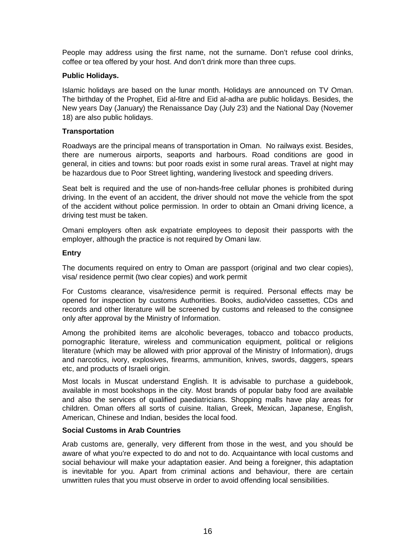People may address using the first name, not the surname. Don't refuse cool drinks, coffee or tea offered by your host. And don't drink more than three cups.

## **Public Holidays.**

Islamic holidays are based on the lunar month. Holidays are announced on TV Oman. The birthday of the Prophet, Eid al-fitre and Eid al-adha are public holidays. Besides, the New years Day (January) the Renaissance Day (July 23) and the National Day (Novemer 18) are also public holidays.

## **Transportation**

Roadways are the principal means of transportation in Oman. No railways exist. Besides, there are numerous airports, seaports and harbours. Road conditions are good in general, in cities and towns: but poor roads exist in some rural areas. Travel at night may be hazardous due to Poor Street lighting, wandering livestock and speeding drivers.

Seat belt is required and the use of non-hands-free cellular phones is prohibited during driving. In the event of an accident, the driver should not move the vehicle from the spot of the accident without police permission. In order to obtain an Omani driving licence, a driving test must be taken.

Omani employers often ask expatriate employees to deposit their passports with the employer, although the practice is not required by Omani law.

# **Entry**

The documents required on entry to Oman are passport (original and two clear copies), visa/ residence permit (two clear copies) and work permit

For Customs clearance, visa/residence permit is required. Personal effects may be opened for inspection by customs Authorities. Books, audio/video cassettes, CDs and records and other literature will be screened by customs and released to the consignee only after approval by the Ministry of Information.

Among the prohibited items are alcoholic beverages, tobacco and tobacco products, pornographic literature, wireless and communication equipment, political or religions literature (which may be allowed with prior approval of the Ministry of Information), drugs and narcotics, ivory, explosives, firearms, ammunition, knives, swords, daggers, spears etc, and products of Israeli origin.

Most locals in Muscat understand English. It is advisable to purchase a guidebook, available in most bookshops in the city. Most brands of popular baby food are available and also the services of qualified paediatricians. Shopping malls have play areas for children. Oman offers all sorts of cuisine. Italian, Greek, Mexican, Japanese, English, American, Chinese and Indian, besides the local food.

## **Social Customs in Arab Countries**

Arab customs are, generally, very different from those in the west, and you should be aware of what you're expected to do and not to do. Acquaintance with local customs and social behaviour will make your adaptation easier. And being a foreigner, this adaptation is inevitable for you. Apart from criminal actions and behaviour, there are certain unwritten rules that you must observe in order to avoid offending local sensibilities.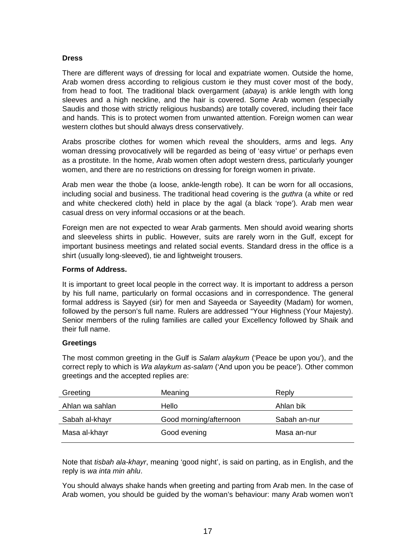## **Dress**

There are different ways of dressing for local and expatriate women. Outside the home, Arab women dress according to religious custom ie they must cover most of the body, from head to foot. The traditional black overgarment (abaya) is ankle length with long sleeves and a high neckline, and the hair is covered. Some Arab women (especially Saudis and those with strictly religious husbands) are totally covered, including their face and hands. This is to protect women from unwanted attention. Foreign women can wear western clothes but should always dress conservatively.

Arabs proscribe clothes for women which reveal the shoulders, arms and legs. Any woman dressing provocatively will be regarded as being of 'easy virtue' or perhaps even as a prostitute. In the home, Arab women often adopt western dress, particularly younger women, and there are no restrictions on dressing for foreign women in private.

Arab men wear the thobe (a loose, ankle-length robe). It can be worn for all occasions, including social and business. The traditional head covering is the guthra (a white or red and white checkered cloth) held in place by the agal (a black 'rope'). Arab men wear casual dress on very informal occasions or at the beach.

Foreign men are not expected to wear Arab garments. Men should avoid wearing shorts and sleeveless shirts in public. However, suits are rarely worn in the Gulf, except for important business meetings and related social events. Standard dress in the office is a shirt (usually long-sleeved), tie and lightweight trousers.

## **Forms of Address.**

It is important to greet local people in the correct way. It is important to address a person by his full name, particularly on formal occasions and in correspondence. The general formal address is Sayyed (sir) for men and Sayeeda or Sayeedity (Madam) for women, followed by the person's full name. Rulers are addressed "Your Highness (Your Majesty). Senior members of the ruling families are called your Excellency followed by Shaik and their full name.

## **Greetings**

The most common greeting in the Gulf is Salam alay kum ('Peace be upon you'), and the correct reply to which is Wa alaykum as-salam ('And upon you be peace'). Other common greetings and the accepted replies are:

| Greeting        | Meaning                | Reply        |
|-----------------|------------------------|--------------|
| Ahlan wa sahlan | Hello                  | Ahlan bik    |
|                 |                        |              |
| Sabah al-khayr  | Good morning/afternoon | Sabah an-nur |

Note that tisbah ala-khayr, meaning 'good night', is said on parting, as in English, and the reply is wa inta min ahlu.

You should always shake hands when greeting and parting from Arab men. In the case of Arab women, you should be guided by the woman's behaviour: many Arab women won't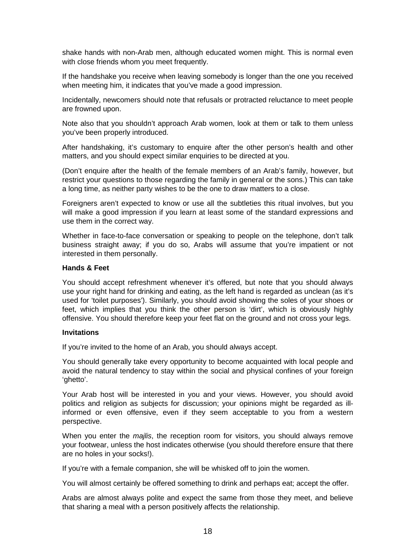shake hands with non-Arab men, although educated women might. This is normal even with close friends whom you meet frequently.

If the handshake you receive when leaving somebody is longer than the one you received when meeting him, it indicates that you've made a good impression.

Incidentally, newcomers should note that refusals or protracted reluctance to meet people are frowned upon.

Note also that you shouldn't approach Arab women, look at them or talk to them unless you've been properly introduced.

After handshaking, it's customary to enquire after the other person's health and other matters, and you should expect similar enquiries to be directed at you.

(Don't enquire after the health of the female members of an Arab's family, however, but restrict your questions to those regarding the family in general or the sons.) This can take a long time, as neither party wishes to be the one to draw matters to a close.

Foreigners aren't expected to know or use all the subtleties this ritual involves, but you will make a good impression if you learn at least some of the standard expressions and use them in the correct way.

Whether in face-to-face conversation or speaking to people on the telephone, don't talk business straight away; if you do so, Arabs will assume that you're impatient or not interested in them personally.

#### **Hands & Feet**

You should accept refreshment whenever it's offered, but note that you should always use your right hand for drinking and eating, as the left hand is regarded as unclean (as it's used for 'toilet purposes'). Similarly, you should avoid showing the soles of your shoes or feet, which implies that you think the other person is 'dirt', which is obviously highly offensive. You should therefore keep your feet flat on the ground and not cross your legs.

#### **Invitations**

If you're invited to the home of an Arab, you should always accept.

You should generally take every opportunity to become acquainted with local people and avoid the natural tendency to stay within the social and physical confines of your foreign 'ghetto'.

Your Arab host will be interested in you and your views. However, you should avoid politics and religion as subjects for discussion; your opinions might be regarded as illinformed or even offensive, even if they seem acceptable to you from a western perspective.

When you enter the *majlis*, the reception room for visitors, you should always remove your footwear, unless the host indicates otherwise (you should therefore ensure that there are no holes in your socks!).

If you're with a female companion, she will be whisked off to join the women.

You will almost certainly be offered something to drink and perhaps eat; accept the offer.

Arabs are almost always polite and expect the same from those they meet, and believe that sharing a meal with a person positively affects the relationship.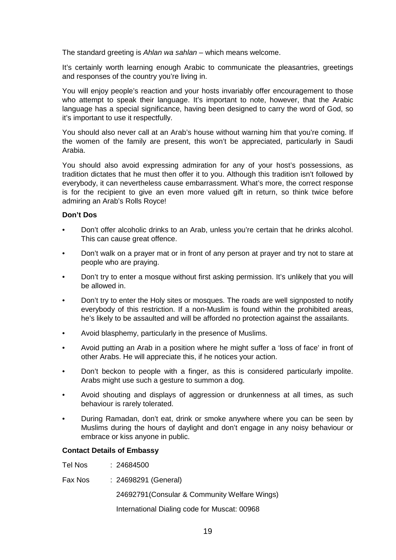The standard greeting is Ahlan wa sahlan – which means welcome.

It's certainly worth learning enough Arabic to communicate the pleasantries, greetings and responses of the country you're living in.

You will enjoy people's reaction and your hosts invariably offer encouragement to those who attempt to speak their language. It's important to note, however, that the Arabic language has a special significance, having been designed to carry the word of God, so it's important to use it respectfully.

You should also never call at an Arab's house without warning him that you're coming. If the women of the family are present, this won't be appreciated, particularly in Saudi Arabia.

You should also avoid expressing admiration for any of your host's possessions, as tradition dictates that he must then offer it to you. Although this tradition isn't followed by everybody, it can nevertheless cause embarrassment. What's more, the correct response is for the recipient to give an even more valued gift in return, so think twice before admiring an Arab's Rolls Royce!

# **Don't Dos**

- Don't offer alcoholic drinks to an Arab, unless you're certain that he drinks alcohol. This can cause great offence.
- Don't walk on a prayer mat or in front of any person at prayer and try not to stare at people who are praying.
- Don't try to enter a mosque without first asking permission. It's unlikely that you will be allowed in.
- Don't try to enter the Holy sites or mosques. The roads are well signposted to notify everybody of this restriction. If a non-Muslim is found within the prohibited areas, he's likely to be assaulted and will be afforded no protection against the assailants.
- Avoid blasphemy, particularly in the presence of Muslims.
- Avoid putting an Arab in a position where he might suffer a 'loss of face' in front of other Arabs. He will appreciate this, if he notices your action.
- Don't beckon to people with a finger, as this is considered particularly impolite. Arabs might use such a gesture to summon a dog.
- Avoid shouting and displays of aggression or drunkenness at all times, as such behaviour is rarely tolerated.
- During Ramadan, don't eat, drink or smoke anywhere where you can be seen by Muslims during the hours of daylight and don't engage in any noisy behaviour or embrace or kiss anyone in public.

## **Contact Details of Embassy**

| Tel Nos<br>: 24684500 |  |
|-----------------------|--|
|-----------------------|--|

Fax Nos : 24698291 (General)

24692791(Consular & Community Welfare Wings)

International Dialing code for Muscat: 00968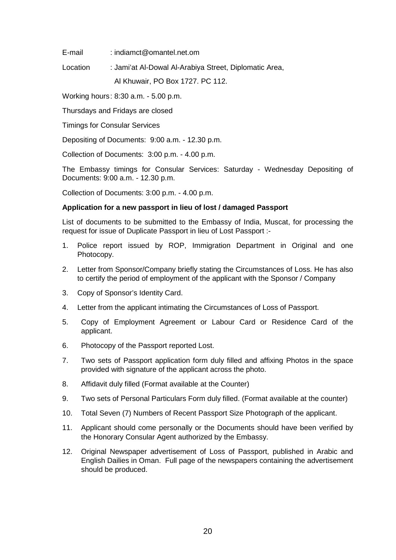E-mail : indiamct@omantel.net.om

Location : Jami'at Al-Dowal Al-Arabiya Street, Diplomatic Area,

Al Khuwair, PO Box 1727. PC 112.

Working hours : 8:30 a.m. - 5.00 p.m.

Thursdays and Fridays are closed

Timings for Consular Services

Depositing of Documents: 9:00 a.m. - 12.30 p.m.

Collection of Documents: 3:00 p.m. - 4.00 p.m.

The Embassy timings for Consular Services: Saturday - Wednesday Depositing of Documents: 9:00 a.m. - 12.30 p.m.

Collection of Documents: 3:00 p.m. - 4.00 p.m.

#### **Application for a new passport in lieu of lost / damaged Passport**

List of documents to be submitted to the Embassy of India, Muscat, for processing the request for issue of Duplicate Passport in lieu of Lost Passport :-

- 1. Police report issued by ROP, Immigration Department in Original and one Photocopy.
- 2. Letter from Sponsor/Company briefly stating the Circumstances of Loss. He has also to certify the period of employment of the applicant with the Sponsor / Company
- 3. Copy of Sponsor's Identity Card.
- 4. Letter from the applicant intimating the Circumstances of Loss of Passport.
- 5. Copy of Employment Agreement or Labour Card or Residence Card of the applicant.
- 6. Photocopy of the Passport reported Lost.
- 7. Two sets of Passport application form duly filled and affixing Photos in the space provided with signature of the applicant across the photo.
- 8. Affidavit duly filled (Format available at the Counter)
- 9. Two sets of Personal Particulars Form duly filled. (Format available at the counter)
- 10. Total Seven (7) Numbers of Recent Passport Size Photograph of the applicant.
- 11. Applicant should come personally or the Documents should have been verified by the Honorary Consular Agent authorized by the Embassy.
- 12. Original Newspaper advertisement of Loss of Passport, published in Arabic and English Dailies in Oman. Full page of the newspapers containing the advertisement should be produced.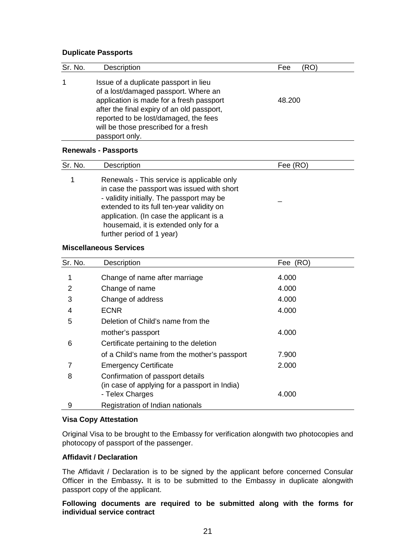## **Duplicate Passports**

| Sr. No. | <b>Description</b>                                                                                                                                                                                                                                                         | Fee<br><b>RO</b> |
|---------|----------------------------------------------------------------------------------------------------------------------------------------------------------------------------------------------------------------------------------------------------------------------------|------------------|
| 1       | Issue of a duplicate passport in lieu<br>of a lost/damaged passport. Where an<br>application is made for a fresh passport<br>after the final expiry of an old passport,<br>reported to be lost/damaged, the fees<br>will be those prescribed for a fresh<br>passport only. | 48.200           |

#### **Renewals - Passports**

| Sr. No. | Description                                                                                                                                                                                                                                                                                         | Fee (RO) |  |
|---------|-----------------------------------------------------------------------------------------------------------------------------------------------------------------------------------------------------------------------------------------------------------------------------------------------------|----------|--|
|         | Renewals - This service is applicable only<br>in case the passport was issued with short<br>- validity initially. The passport may be<br>extended to its full ten-year validity on<br>application. (In case the applicant is a<br>housemaid, it is extended only for a<br>further period of 1 year) |          |  |

# **Miscellaneous Services**

| Sr. No. | <b>Description</b>                                                                | Fee (RO) |  |
|---------|-----------------------------------------------------------------------------------|----------|--|
| 1       | Change of name after marriage                                                     | 4.000    |  |
| 2       | Change of name                                                                    | 4.000    |  |
| 3       | Change of address                                                                 | 4.000    |  |
| 4       | <b>ECNR</b>                                                                       | 4.000    |  |
| 5       | Deletion of Child's name from the                                                 |          |  |
|         | mother's passport                                                                 | 4.000    |  |
| 6       | Certificate pertaining to the deletion                                            |          |  |
|         | of a Child's name from the mother's passport                                      | 7.900    |  |
|         | <b>Emergency Certificate</b>                                                      | 2.000    |  |
| 8       | Confirmation of passport details<br>(in case of applying for a passport in India) |          |  |
|         | - Telex Charges                                                                   | 4.000    |  |
| 9       | Registration of Indian nationals                                                  |          |  |

#### **Visa Copy Attestation**

Original Visa to be brought to the Embassy for verification alongwith two photocopies and photocopy of passport of the passenger.

## **Affidavit / Declaration**

The Affidavit / Declaration is to be signed by the applicant before concerned Consular Officer in the Embassy**.** It is to be submitted to the Embassy in duplicate alongwith passport copy of the applicant.

**Following documents are required to be submitted along with the forms for individual service contract**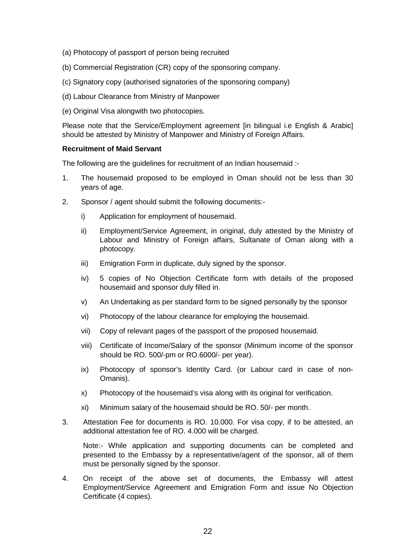- (a) Photocopy of passport of person being recruited
- (b) Commercial Registration (CR) copy of the sponsoring company.
- (c) Signatory copy (authorised signatories of the sponsoring company)
- (d) Labour Clearance from Ministry of Manpower
- (e) Original Visa alongwith two photocopies.

Please note that the Service/Employment agreement [in bilingual i.e English & Arabic] should be attested by Ministry of Manpower and Ministry of Foreign Affairs.

#### **Recruitment of Maid Servant**

The following are the guidelines for recruitment of an Indian housemaid :-

- 1. The housemaid proposed to be employed in Oman should not be less than 30 years of age.
- 2. Sponsor / agent should submit the following documents:
	- i) Application for employment of housemaid.
	- ii) Employment/Service Agreement, in original, duly attested by the Ministry of Labour and Ministry of Foreign affairs, Sultanate of Oman along with a photocopy.
	- iii) Emigration Form in duplicate, duly signed by the sponsor.
	- iv) 5 copies of No Objection Certificate form with details of the proposed housemaid and sponsor duly filled in.
	- v) An Undertaking as per standard form to be signed personally by the sponsor
	- vi) Photocopy of the labour clearance for employing the housemaid.
	- vii) Copy of relevant pages of the passport of the proposed housemaid.
	- viii) Certificate of Income/Salary of the sponsor (Minimum income of the sponsor should be RO. 500/-pm or RO.6000/- per year).
	- ix) Photocopy of sponsor's Identity Card. (or Labour card in case of non-Omanis).
	- x) Photocopy of the housemaid's visa along with its original for verification.
	- xi) Minimum salary of the housemaid should be RO. 50/- per month.
- 3. Attestation Fee for documents is RO. 10.000. For visa copy, if to be attested, an additional attestation fee of RO. 4.000 will be charged.

 Note:- While application and supporting documents can be completed and presented to the Embassy by a representative/agent of the sponsor, all of them must be personally signed by the sponsor.

4. On receipt of the above set of documents, the Embassy will attest Employment/Service Agreement and Emigration Form and issue No Objection Certificate (4 copies).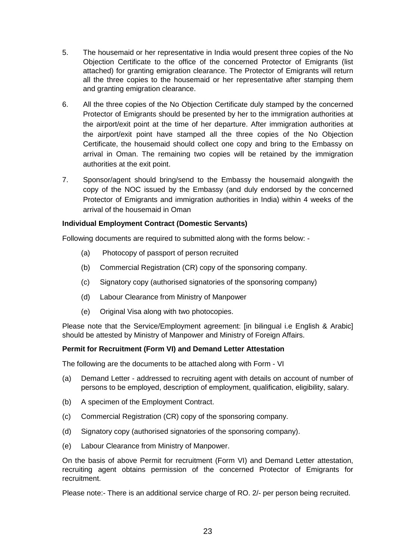- 5. The housemaid or her representative in India would present three copies of the No Objection Certificate to the office of the concerned Protector of Emigrants (list attached) for granting emigration clearance. The Protector of Emigrants will return all the three copies to the housemaid or her representative after stamping them and granting emigration clearance.
- 6. All the three copies of the No Objection Certificate duly stamped by the concerned Protector of Emigrants should be presented by her to the immigration authorities at the airport/exit point at the time of her departure. After immigration authorities at the airport/exit point have stamped all the three copies of the No Objection Certificate, the housemaid should collect one copy and bring to the Embassy on arrival in Oman. The remaining two copies will be retained by the immigration authorities at the exit point.
- 7. Sponsor/agent should bring/send to the Embassy the housemaid alongwith the copy of the NOC issued by the Embassy (and duly endorsed by the concerned Protector of Emigrants and immigration authorities in India) within 4 weeks of the arrival of the housemaid in Oman

# **Individual Employment Contract (Domestic Servants)**

Following documents are required to submitted along with the forms below: -

- (a) Photocopy of passport of person recruited
- (b) Commercial Registration (CR) copy of the sponsoring company.
- (c) Signatory copy (authorised signatories of the sponsoring company)
- (d) Labour Clearance from Ministry of Manpower
- (e) Original Visa along with two photocopies.

Please note that the Service/Employment agreement: [in bilingual i.e English & Arabic] should be attested by Ministry of Manpower and Ministry of Foreign Affairs.

## **Permit for Recruitment (Form VI) and Demand Letter Attestation**

The following are the documents to be attached along with Form - VI

- (a) Demand Letter addressed to recruiting agent with details on account of number of persons to be employed, description of employment, qualification, eligibility, salary.
- (b) A specimen of the Employment Contract.
- (c) Commercial Registration (CR) copy of the sponsoring company.
- (d) Signatory copy (authorised signatories of the sponsoring company).
- (e) Labour Clearance from Ministry of Manpower.

On the basis of above Permit for recruitment (Form VI) and Demand Letter attestation, recruiting agent obtains permission of the concerned Protector of Emigrants for recruitment.

Please note:- There is an additional service charge of RO. 2/- per person being recruited.